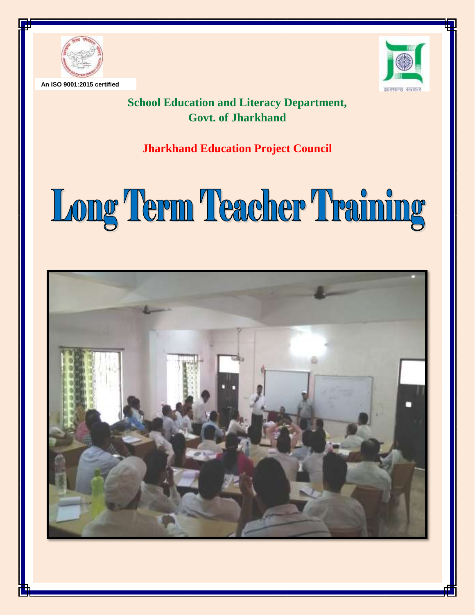

**An ISO 9001:2015 certified**



**School Education and Literacy Department, Govt. of Jharkhand**

## **Jharkhand Education Project Council**

## Long Term Teacher Training

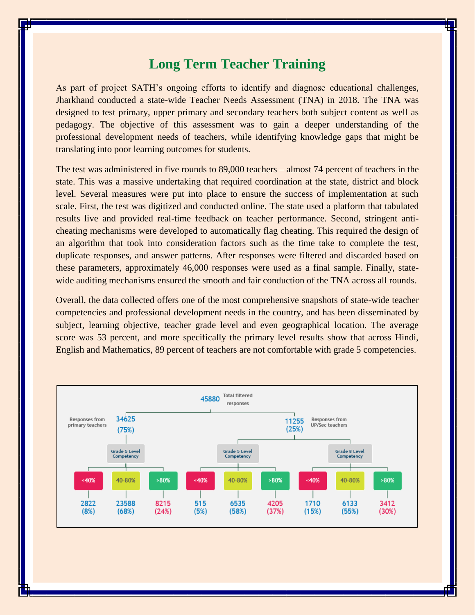## **Long Term Teacher Training**

As part of project SATH's ongoing efforts to identify and diagnose educational challenges, Jharkhand conducted a state-wide Teacher Needs Assessment (TNA) in 2018. The TNA was designed to test primary, upper primary and secondary teachers both subject content as well as pedagogy. The objective of this assessment was to gain a deeper understanding of the professional development needs of teachers, while identifying knowledge gaps that might be translating into poor learning outcomes for students.

The test was administered in five rounds to 89,000 teachers – almost 74 percent of teachers in the state. This was a massive undertaking that required coordination at the state, district and block level. Several measures were put into place to ensure the success of implementation at such scale. First, the test was digitized and conducted online. The state used a platform that tabulated results live and provided real-time feedback on teacher performance. Second, stringent anticheating mechanisms were developed to automatically flag cheating. This required the design of an algorithm that took into consideration factors such as the time take to complete the test, duplicate responses, and answer patterns. After responses were filtered and discarded based on these parameters, approximately 46,000 responses were used as a final sample. Finally, statewide auditing mechanisms ensured the smooth and fair conduction of the TNA across all rounds.

Overall, the data collected offers one of the most comprehensive snapshots of state-wide teacher competencies and professional development needs in the country, and has been disseminated by subject, learning objective, teacher grade level and even geographical location. The average score was 53 percent, and more specifically the primary level results show that across Hindi, English and Mathematics, 89 percent of teachers are not comfortable with grade 5 competencies.

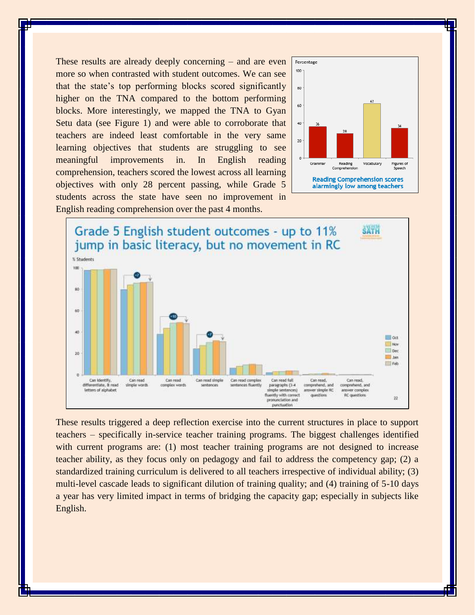These results are already deeply concerning – and are even more so when contrasted with student outcomes. We can see that the state's top performing blocks scored significantly higher on the TNA compared to the bottom performing blocks. More interestingly, we mapped the TNA to Gyan Setu data (see Figure 1) and were able to corroborate that teachers are indeed least comfortable in the very same learning objectives that students are struggling to see meaningful improvements in. In English reading comprehension, teachers scored the lowest across all learning objectives with only 28 percent passing, while Grade 5 students across the state have seen no improvement in English reading comprehension over the past 4 months.





These results triggered a deep reflection exercise into the current structures in place to support teachers – specifically in-service teacher training programs. The biggest challenges identified with current programs are: (1) most teacher training programs are not designed to increase teacher ability, as they focus only on pedagogy and fail to address the competency gap; (2) a standardized training curriculum is delivered to all teachers irrespective of individual ability; (3) multi-level cascade leads to significant dilution of training quality; and (4) training of 5-10 days a year has very limited impact in terms of bridging the capacity gap; especially in subjects like English.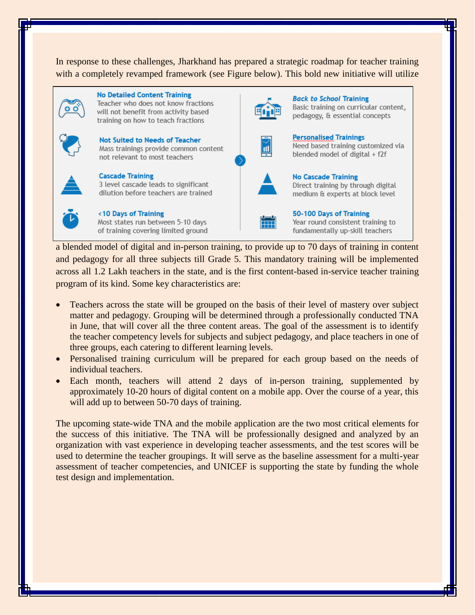In response to these challenges, Jharkhand has prepared a strategic roadmap for teacher training with a completely revamped framework (see Figure below). This bold new initiative will utilize





<10 Days of Training Most states run between 5-10 days of training covering limited ground







**No Cascade Training** Direct training by through digital medium & experts at block level

Basic training on curricular content,

Need based training customized via

pedagogy, & essential concepts

blended model of digital + f2f

**Back to School Training** 

**Personalised Trainings** 



50-100 Days of Training Year round consistent training to fundamentally up-skill teachers

a blended model of digital and in-person training, to provide up to 70 days of training in content and pedagogy for all three subjects till Grade 5. This mandatory training will be implemented across all 1.2 Lakh teachers in the state, and is the first content-based in-service teacher training program of its kind. Some key characteristics are:

- Teachers across the state will be grouped on the basis of their level of mastery over subject matter and pedagogy. Grouping will be determined through a professionally conducted TNA in June, that will cover all the three content areas. The goal of the assessment is to identify the teacher competency levels for subjects and subject pedagogy, and place teachers in one of three groups, each catering to different learning levels.
- Personalised training curriculum will be prepared for each group based on the needs of individual teachers.
- Each month, teachers will attend 2 days of in-person training, supplemented by approximately 10-20 hours of digital content on a mobile app. Over the course of a year, this will add up to between 50-70 days of training.

The upcoming state-wide TNA and the mobile application are the two most critical elements for the success of this initiative. The TNA will be professionally designed and analyzed by an organization with vast experience in developing teacher assessments, and the test scores will be used to determine the teacher groupings. It will serve as the baseline assessment for a multi-year assessment of teacher competencies, and UNICEF is supporting the state by funding the whole test design and implementation.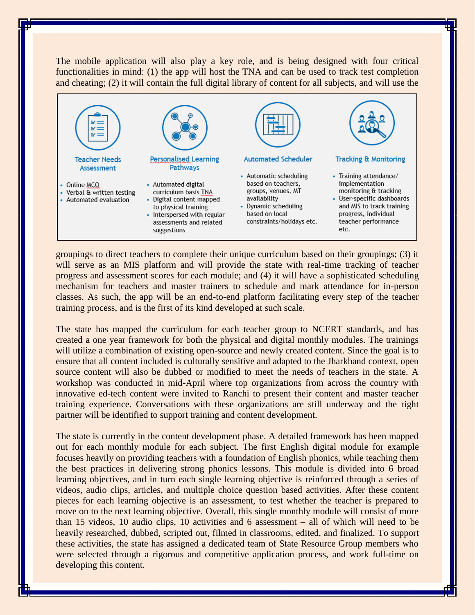The mobile application will also play a key role, and is being designed with four critical functionalities in mind: (1) the app will host the TNA and can be used to track test completion and cheating; (2) it will contain the full digital library of content for all subjects, and will use the



groupings to direct teachers to complete their unique curriculum based on their groupings; (3) it will serve as an MIS platform and will provide the state with real-time tracking of teacher progress and assessment scores for each module; and (4) it will have a sophisticated scheduling mechanism for teachers and master trainers to schedule and mark attendance for in-person classes. As such, the app will be an end-to-end platform facilitating every step of the teacher training process, and is the first of its kind developed at such scale.

The state has mapped the curriculum for each teacher group to NCERT standards, and has created a one year framework for both the physical and digital monthly modules. The trainings will utilize a combination of existing open-source and newly created content. Since the goal is to ensure that all content included is culturally sensitive and adapted to the Jharkhand context, open source content will also be dubbed or modified to meet the needs of teachers in the state. A workshop was conducted in mid-April where top organizations from across the country with innovative ed-tech content were invited to Ranchi to present their content and master teacher training experience. Conversations with these organizations are still underway and the right partner will be identified to support training and content development.

The state is currently in the content development phase. A detailed framework has been mapped out for each monthly module for each subject. The first English digital module for example focuses heavily on providing teachers with a foundation of English phonics, while teaching them the best practices in delivering strong phonics lessons. This module is divided into 6 broad learning objectives, and in turn each single learning objective is reinforced through a series of videos, audio clips, articles, and multiple choice question based activities. After these content pieces for each learning objective is an assessment, to test whether the teacher is prepared to move on to the next learning objective. Overall, this single monthly module will consist of more than 15 videos, 10 audio clips, 10 activities and 6 assessment – all of which will need to be heavily researched, dubbed, scripted out, filmed in classrooms, edited, and finalized. To support these activities, the state has assigned a dedicated team of State Resource Group members who were selected through a rigorous and competitive application process, and work full-time on developing this content.